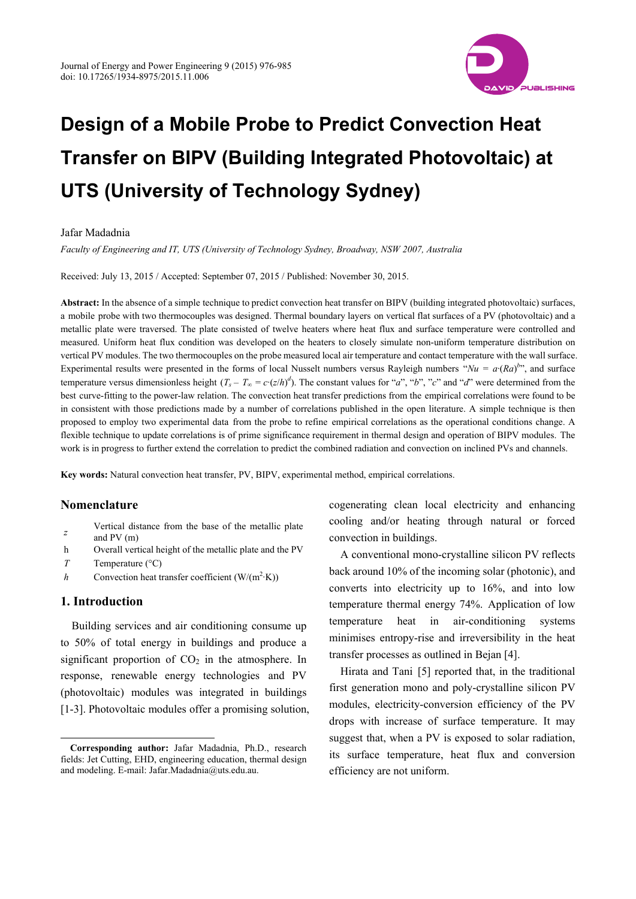

# **Design of a Mobile Probe to Predict Convection Heat Transfer on BIPV (Building Integrated Photovoltaic) at UTS (University of Technology Sydney)**

## Jafar Madadnia

*Faculty of Engineering and IT, UTS (University of Technology Sydney, Broadway, NSW 2007, Australia* 

Received: July 13, 2015 / Accepted: September 07, 2015 / Published: November 30, 2015.

**Abstract:** In the absence of a simple technique to predict convection heat transfer on BIPV (building integrated photovoltaic) surfaces, a mobile probe with two thermocouples was designed. Thermal boundary layers on vertical flat surfaces of a PV (photovoltaic) and a metallic plate were traversed. The plate consisted of twelve heaters where heat flux and surface temperature were controlled and measured. Uniform heat flux condition was developed on the heaters to closely simulate non-uniform temperature distribution on vertical PV modules. The two thermocouples on the probe measured local air temperature and contact temperature with the wall surface. Experimental results were presented in the forms of local Nusselt numbers versus Rayleigh numbers " $Nu = a (Ra)^{b}$ ", and surface temperature versus dimensionless height  $(T_s - T_\infty = c \cdot (z/h)^d)$ . The constant values for "*a*", "*b*", "*c*" and "*d*" were determined from the best curve-fitting to the power-law relation. The convection heat transfer predictions from the empirical correlations were found to be in consistent with those predictions made by a number of correlations published in the open literature. A simple technique is then proposed to employ two experimental data from the probe to refine empirical correlations as the operational conditions change. A flexible technique to update correlations is of prime significance requirement in thermal design and operation of BIPV modules. The work is in progress to further extend the correlation to predict the combined radiation and convection on inclined PVs and channels.

**Key words:** Natural convection heat transfer, PV, BIPV, experimental method, empirical correlations.

## **Nomenclature**

- $\bar{z}$  Vertical distance from the base of the metallic plate and PV (m)
- h Overall vertical height of the metallic plate and the PV
- *T* Temperature (°C)
- *h* Convection heat transfer coefficient  $(W/(m^2 \cdot K))$

# **1. Introduction**

 $\overline{a}$ 

Building services and air conditioning consume up to 50% of total energy in buildings and produce a significant proportion of  $CO<sub>2</sub>$  in the atmosphere. In response, renewable energy technologies and PV (photovoltaic) modules was integrated in buildings [1-3]. Photovoltaic modules offer a promising solution, cogenerating clean local electricity and enhancing cooling and/or heating through natural or forced convection in buildings.

A conventional mono-crystalline silicon PV reflects back around 10% of the incoming solar (photonic), and converts into electricity up to 16%, and into low temperature thermal energy 74%. Application of low temperature heat in air-conditioning systems minimises entropy-rise and irreversibility in the heat transfer processes as outlined in Bejan [4].

Hirata and Tani [5] reported that, in the traditional first generation mono and poly-crystalline silicon PV modules, electricity-conversion efficiency of the PV drops with increase of surface temperature. It may suggest that, when a PV is exposed to solar radiation, its surface temperature, heat flux and conversion efficiency are not uniform.

**Corresponding author:** Jafar Madadnia, Ph.D., research fields: Jet Cutting, EHD, engineering education, thermal design and modeling. E-mail: Jafar.Madadnia@uts.edu.au.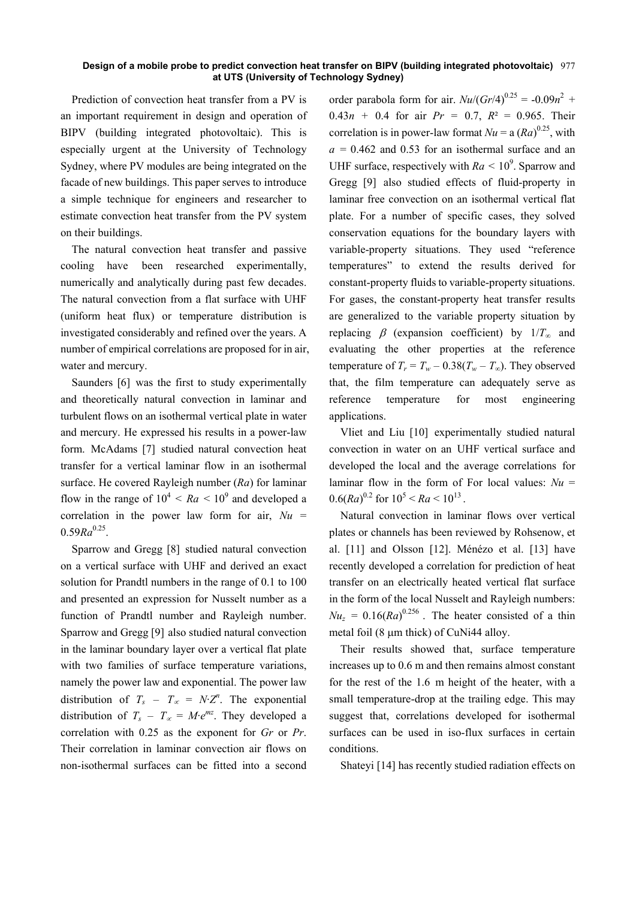#### **Design of a mobile probe to predict convection heat transfer on BIPV (building integrated photovoltaic)**  977 **at UTS (University of Technology Sydney)**

Prediction of convection heat transfer from a PV is an important requirement in design and operation of BIPV (building integrated photovoltaic). This is especially urgent at the University of Technology Sydney, where PV modules are being integrated on the facade of new buildings. This paper serves to introduce a simple technique for engineers and researcher to estimate convection heat transfer from the PV system on their buildings.

The natural convection heat transfer and passive cooling have been researched experimentally, numerically and analytically during past few decades. The natural convection from a flat surface with UHF (uniform heat flux) or temperature distribution is investigated considerably and refined over the years. A number of empirical correlations are proposed for in air, water and mercury.

Saunders [6] was the first to study experimentally and theoretically natural convection in laminar and turbulent flows on an isothermal vertical plate in water and mercury. He expressed his results in a power-law form. McAdams [7] studied natural convection heat transfer for a vertical laminar flow in an isothermal surface. He covered Rayleigh number (*Ra*) for laminar flow in the range of  $10^4 < Ra < 10^9$  and developed a correlation in the power law form for air,  $Nu =$  $0.59Ra^{0.25}$ .

Sparrow and Gregg [8] studied natural convection on a vertical surface with UHF and derived an exact solution for Prandtl numbers in the range of 0.1 to 100 and presented an expression for Nusselt number as a function of Prandtl number and Rayleigh number. Sparrow and Gregg [9] also studied natural convection in the laminar boundary layer over a vertical flat plate with two families of surface temperature variations, namely the power law and exponential. The power law distribution of  $T_s - T_\infty = N \cdot Z^n$ . The exponential distribution of  $T_s - T_\infty = M \cdot e^{mz}$ . They developed a correlation with 0.25 as the exponent for *Gr* or *Pr*. Their correlation in laminar convection air flows on non-isothermal surfaces can be fitted into a second

order parabola form for air.  $Nu/(Gr/4)^{0.25} = -0.09n^2 +$  $0.43n + 0.4$  for air  $Pr = 0.7$ ,  $R^2 = 0.965$ . Their correlation is in power-law format  $Nu = a (Ra)^{0.25}$ , with  $a = 0.462$  and 0.53 for an isothermal surface and an UHF surface, respectively with  $Ra < 10^9$ . Sparrow and Gregg [9] also studied effects of fluid-property in laminar free convection on an isothermal vertical flat plate. For a number of specific cases, they solved conservation equations for the boundary layers with variable-property situations. They used "reference temperatures" to extend the results derived for constant-property fluids to variable-property situations. For gases, the constant-property heat transfer results are generalized to the variable property situation by replacing  $\beta$  (expansion coefficient) by  $1/T_\infty$  and evaluating the other properties at the reference temperature of  $T_r = T_w - 0.38(T_w - T_\infty)$ . They observed that, the film temperature can adequately serve as reference temperature for most engineering applications.

Vliet and Liu [10] experimentally studied natural convection in water on an UHF vertical surface and developed the local and the average correlations for laminar flow in the form of For local values:  $Nu =$  $0.6(Ra)^{0.2}$  for  $10^5 < Ra < 10^{13}$ .

Natural convection in laminar flows over vertical plates or channels has been reviewed by Rohsenow, et al. [11] and Olsson [12]. Ménézo et al. [13] have recently developed a correlation for prediction of heat transfer on an electrically heated vertical flat surface in the form of the local Nusselt and Rayleigh numbers:  $Nu_z = 0.16(Ra)^{0.256}$ . The heater consisted of a thin metal foil (8  $\mu$ m thick) of CuNi44 alloy.

Their results showed that, surface temperature increases up to 0.6 m and then remains almost constant for the rest of the 1.6 m height of the heater, with a small temperature-drop at the trailing edge. This may suggest that, correlations developed for isothermal surfaces can be used in iso-flux surfaces in certain conditions.

Shateyi [14] has recently studied radiation effects on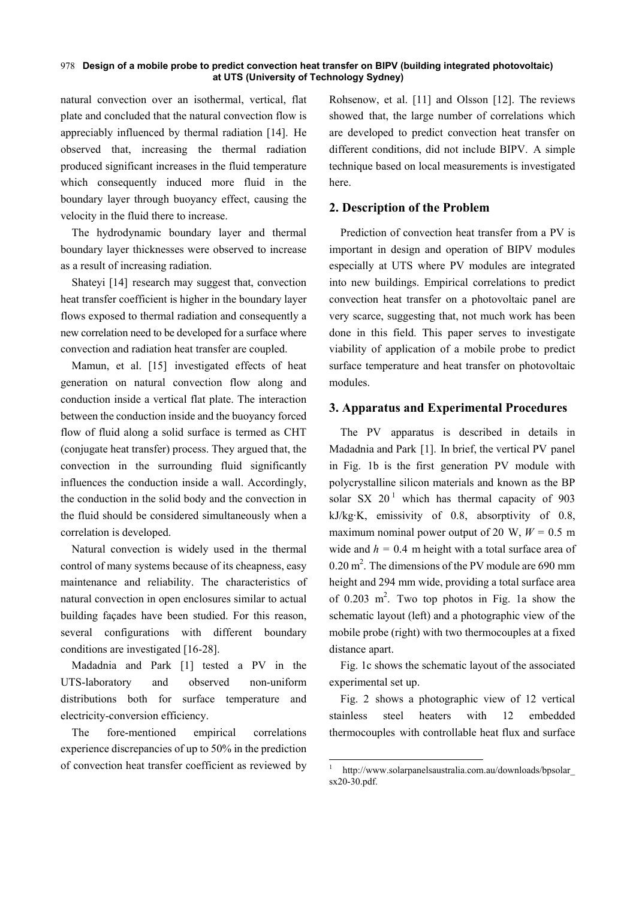## **Design of a mobile probe to predict convection heat transfer on BIPV (building integrated photovoltaic)**  978 **at UTS (University of Technology Sydney)**

natural convection over an isothermal, vertical, flat plate and concluded that the natural convection flow is appreciably influenced by thermal radiation [14]. He observed that, increasing the thermal radiation produced significant increases in the fluid temperature which consequently induced more fluid in the boundary layer through buoyancy effect, causing the velocity in the fluid there to increase.

The hydrodynamic boundary layer and thermal boundary layer thicknesses were observed to increase as a result of increasing radiation.

Shateyi [14] research may suggest that, convection heat transfer coefficient is higher in the boundary layer flows exposed to thermal radiation and consequently a new correlation need to be developed for a surface where convection and radiation heat transfer are coupled.

Mamun, et al. [15] investigated effects of heat generation on natural convection flow along and conduction inside a vertical flat plate. The interaction between the conduction inside and the buoyancy forced flow of fluid along a solid surface is termed as CHT (conjugate heat transfer) process. They argued that, the convection in the surrounding fluid significantly influences the conduction inside a wall. Accordingly, the conduction in the solid body and the convection in the fluid should be considered simultaneously when a correlation is developed.

Natural convection is widely used in the thermal control of many systems because of its cheapness, easy maintenance and reliability. The characteristics of natural convection in open enclosures similar to actual building façades have been studied. For this reason, several configurations with different boundary conditions are investigated [16-28].

Madadnia and Park [1] tested a PV in the UTS-laboratory and observed non-uniform distributions both for surface temperature and electricity-conversion efficiency.

The fore-mentioned empirical correlations experience discrepancies of up to 50% in the prediction of convection heat transfer coefficient as reviewed by Rohsenow, et al. [11] and Olsson [12]. The reviews showed that, the large number of correlations which are developed to predict convection heat transfer on different conditions, did not include BIPV. A simple technique based on local measurements is investigated here.

# **2. Description of the Problem**

Prediction of convection heat transfer from a PV is important in design and operation of BIPV modules especially at UTS where PV modules are integrated into new buildings. Empirical correlations to predict convection heat transfer on a photovoltaic panel are very scarce, suggesting that, not much work has been done in this field. This paper serves to investigate viability of application of a mobile probe to predict surface temperature and heat transfer on photovoltaic modules.

## **3. Apparatus and Experimental Procedures**

The PV apparatus is described in details in Madadnia and Park [1]. In brief, the vertical PV panel in Fig. 1b is the first generation PV module with polycrystalline silicon materials and known as the BP solar SX  $20<sup>1</sup>$  which has thermal capacity of 903 kJ/kg·K, emissivity of 0.8, absorptivity of 0.8, maximum nominal power output of 20 W,  $W = 0.5$  m wide and  $h = 0.4$  m height with a total surface area of  $0.20 \text{ m}^2$ . The dimensions of the PV module are 690 mm height and 294 mm wide, providing a total surface area of  $0.203$  m<sup>2</sup>. Two top photos in Fig. 1a show the schematic layout (left) and a photographic view of the mobile probe (right) with two thermocouples at a fixed distance apart.

Fig. 1c shows the schematic layout of the associated experimental set up.

Fig. 2 shows a photographic view of 12 vertical stainless steel heaters with 12 embedded thermocouples with controllable heat flux and surface

1

<sup>&</sup>lt;sup>1</sup> http://www.solarpanelsaustralia.com.au/downloads/bpsolar sx20-30.pdf.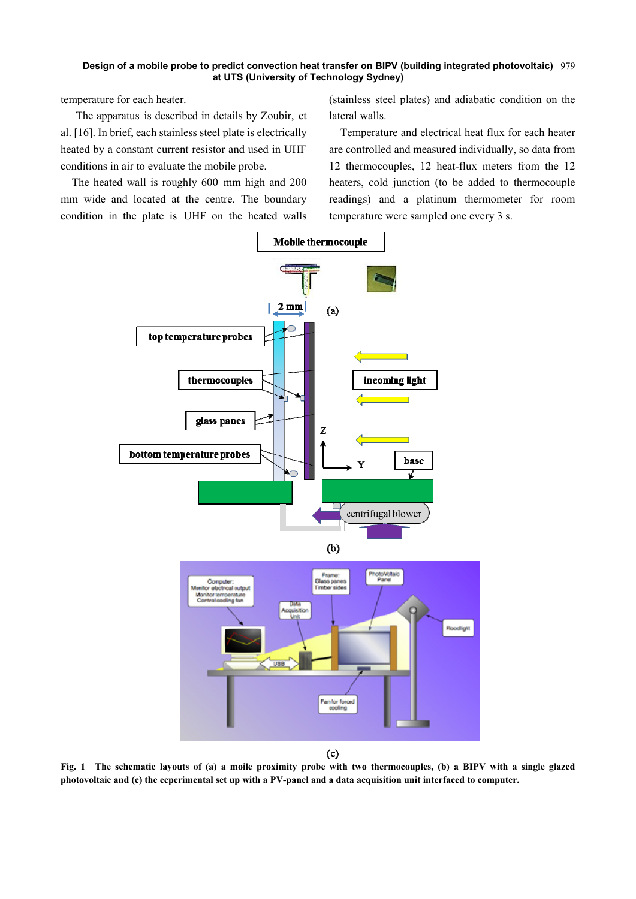#### **Design of a mobile probe to predict convection heat transfer on BIPV (building integrated photovoltaic)**  979 **at UTS (University of Technology Sydney)**

temperature for each heater.

The apparatus is described in details by Zoubir, et al. [16]. In brief, each stainless steel plate is electrically heated by a constant current resistor and used in UHF conditions in air to evaluate the mobile probe.

The heated wall is roughly 600 mm high and 200 mm wide and located at the centre. The boundary condition in the plate is UHF on the heated walls (stainless steel plates) and adiabatic condition on the lateral walls.

Temperature and electrical heat flux for each heater are controlled and measured individually, so data from 12 thermocouples, 12 heat-flux meters from the 12 heaters, cold junction (to be added to thermocouple readings) and a platinum thermometer for room temperature were sampled one every 3 s.



 $(c)$ 

**Fig. 1 The schematic layouts of (a) a moile proximity probe with two thermocouples, (b) a BIPV with a single glazed photovoltaic and (c) the ecperimental set up with a PV-panel and a data acquisition unit interfaced to computer.**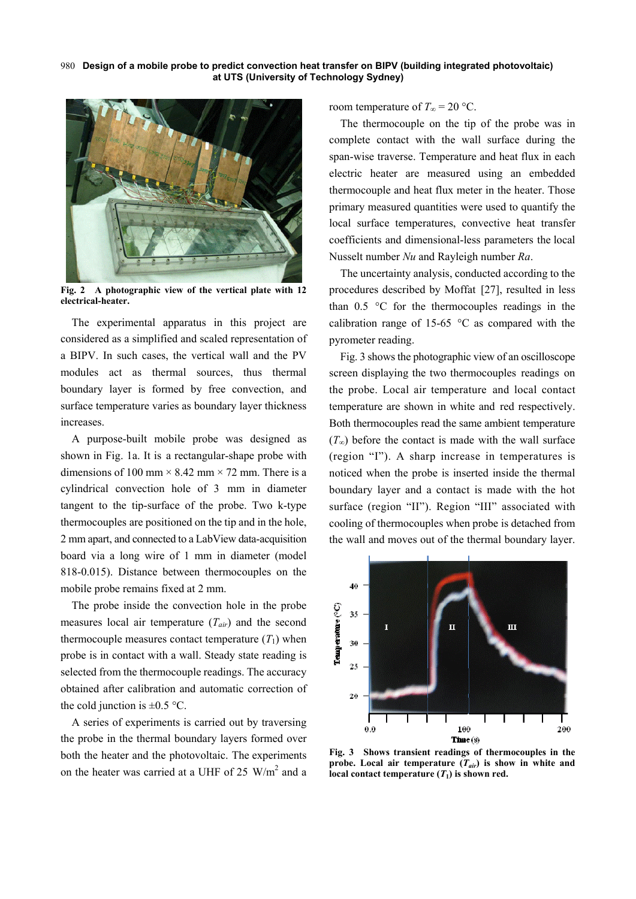**Design of a mobile probe to predict convection heat transfer on BIPV (building integrated photovoltaic)**  980 **at UTS (University of Technology Sydney)** 



**Fig. 2 A photographic view of the vertical plate with 12 electrical-heater.** 

The experimental apparatus in this project are considered as a simplified and scaled representation of a BIPV. In such cases, the vertical wall and the PV modules act as thermal sources, thus thermal boundary layer is formed by free convection, and surface temperature varies as boundary layer thickness increases.

A purpose-built mobile probe was designed as shown in Fig. 1a. It is a rectangular-shape probe with dimensions of 100 mm  $\times$  8.42 mm  $\times$  72 mm. There is a cylindrical convection hole of 3 mm in diameter tangent to the tip-surface of the probe. Two k-type thermocouples are positioned on the tip and in the hole, 2 mm apart, and connected to a LabView data-acquisition board via a long wire of 1 mm in diameter (model 818-0.015). Distance between thermocouples on the mobile probe remains fixed at 2 mm.

The probe inside the convection hole in the probe measures local air temperature (*Tair*) and the second thermocouple measures contact temperature  $(T_1)$  when probe is in contact with a wall. Steady state reading is selected from the thermocouple readings. The accuracy obtained after calibration and automatic correction of the cold junction is  $\pm 0.5$  °C.

A series of experiments is carried out by traversing the probe in the thermal boundary layers formed over both the heater and the photovoltaic. The experiments on the heater was carried at a UHF of 25  $W/m<sup>2</sup>$  and a room temperature of  $T_\infty$  = 20 °C.

The thermocouple on the tip of the probe was in complete contact with the wall surface during the span-wise traverse. Temperature and heat flux in each electric heater are measured using an embedded thermocouple and heat flux meter in the heater. Those primary measured quantities were used to quantify the local surface temperatures, convective heat transfer coefficients and dimensional-less parameters the local Nusselt number *Nu* and Rayleigh number *Ra*.

The uncertainty analysis, conducted according to the procedures described by Moffat [27], resulted in less than 0.5 °C for the thermocouples readings in the calibration range of 15-65 °C as compared with the pyrometer reading.

Fig. 3 shows the photographic view of an oscilloscope screen displaying the two thermocouples readings on the probe. Local air temperature and local contact temperature are shown in white and red respectively. Both thermocouples read the same ambient temperature  $(T<sub>∞</sub>)$  before the contact is made with the wall surface (region "I"). A sharp increase in temperatures is noticed when the probe is inserted inside the thermal boundary layer and a contact is made with the hot surface (region "II"). Region "III" associated with cooling of thermocouples when probe is detached from the wall and moves out of the thermal boundary layer.



**Fig. 3 Shows transient readings of thermocouples in the probe.** Local air temperature  $(T_{air})$  is show in white and local contact temperature  $(T_1)$  is shown red.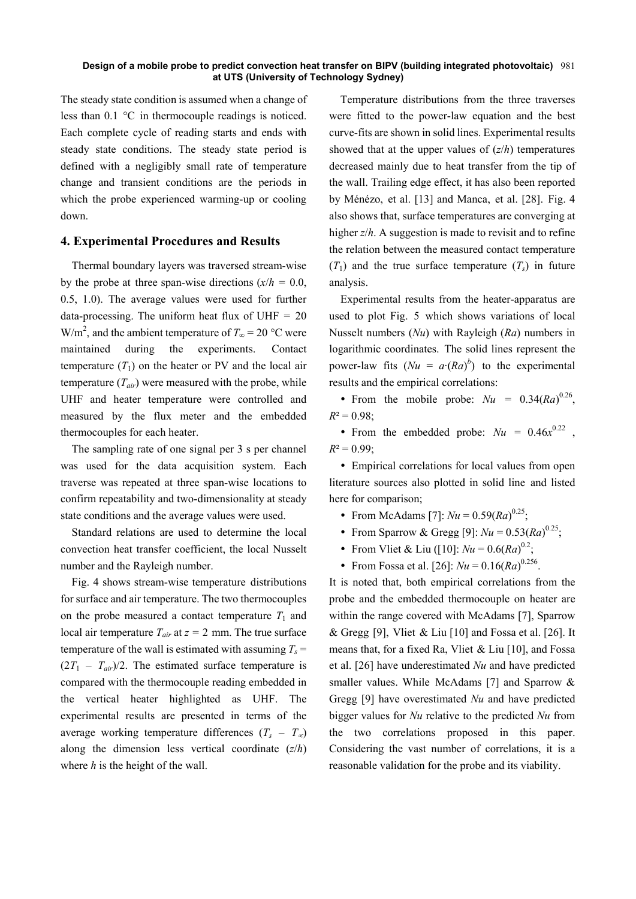#### **Design of a mobile probe to predict convection heat transfer on BIPV (building integrated photovoltaic)**  981 **at UTS (University of Technology Sydney)**

The steady state condition is assumed when a change of less than 0.1 °C in thermocouple readings is noticed. Each complete cycle of reading starts and ends with steady state conditions. The steady state period is defined with a negligibly small rate of temperature change and transient conditions are the periods in which the probe experienced warming-up or cooling down.

## **4. Experimental Procedures and Results**

Thermal boundary layers was traversed stream-wise by the probe at three span-wise directions  $(x/h = 0.0)$ , 0.5, 1.0). The average values were used for further data-processing. The uniform heat flux of  $UHF = 20$ W/m<sup>2</sup>, and the ambient temperature of  $T_{\infty}$  = 20 °C were maintained during the experiments. Contact temperature  $(T_1)$  on the heater or PV and the local air temperature  $(T_{air})$  were measured with the probe, while UHF and heater temperature were controlled and measured by the flux meter and the embedded thermocouples for each heater.

The sampling rate of one signal per 3 s per channel was used for the data acquisition system. Each traverse was repeated at three span-wise locations to confirm repeatability and two-dimensionality at steady state conditions and the average values were used.

Standard relations are used to determine the local convection heat transfer coefficient, the local Nusselt number and the Rayleigh number.

Fig. 4 shows stream-wise temperature distributions for surface and air temperature. The two thermocouples on the probe measured a contact temperature  $T_1$  and local air temperature  $T_{air}$  at  $z = 2$  mm. The true surface temperature of the wall is estimated with assuming  $T_s$  =  $(2T_1 - T_{air})/2$ . The estimated surface temperature is compared with the thermocouple reading embedded in the vertical heater highlighted as UHF. The experimental results are presented in terms of the average working temperature differences  $(T_s - T_\infty)$ along the dimension less vertical coordinate (*z*/*h*) where *h* is the height of the wall.

Temperature distributions from the three traverses were fitted to the power-law equation and the best curve-fits are shown in solid lines. Experimental results showed that at the upper values of (*z*/*h*) temperatures decreased mainly due to heat transfer from the tip of the wall. Trailing edge effect, it has also been reported by Ménézo, et al. [13] and Manca, et al. [28]. Fig. 4 also shows that, surface temperatures are converging at higher *z*/*h*. A suggestion is made to revisit and to refine the relation between the measured contact temperature  $(T_1)$  and the true surface temperature  $(T_s)$  in future analysis.

Experimental results from the heater-apparatus are used to plot Fig. 5 which shows variations of local Nusselt numbers (*Nu*) with Rayleigh (*Ra*) numbers in logarithmic coordinates. The solid lines represent the power-law fits  $(Nu = a'(Ra)^b)$  to the experimental results and the empirical correlations:

• From the mobile probe:  $Nu = 0.34 (Ra)^{0.26}$ ,  $R^2 = 0.98$ ;

• From the embedded probe:  $Nu = 0.46x^{0.22}$ ,  $R^2 = 0.99$ ;

 Empirical correlations for local values from open literature sources also plotted in solid line and listed here for comparison;

- From McAdams [7]:  $Nu = 0.59 (Ra)^{0.25}$ ;
- From Sparrow & Gregg [9]:  $Nu = 0.53 (Ra)^{0.25}$ ;
- From Vliet & Liu ([10]:  $Nu = 0.6 (Ra)^{0.2}$ ;
- From Fossa et al. [26]:  $Nu = 0.16 (Ra)^{0.256}$ .

It is noted that, both empirical correlations from the probe and the embedded thermocouple on heater are within the range covered with McAdams [7], Sparrow & Gregg [9], Vliet & Liu [10] and Fossa et al. [26]. It means that, for a fixed Ra, Vliet & Liu [10], and Fossa et al. [26] have underestimated *Nu* and have predicted smaller values. While McAdams [7] and Sparrow & Gregg [9] have overestimated *Nu* and have predicted bigger values for *Nu* relative to the predicted *Nu* from the two correlations proposed in this paper. Considering the vast number of correlations, it is a reasonable validation for the probe and its viability.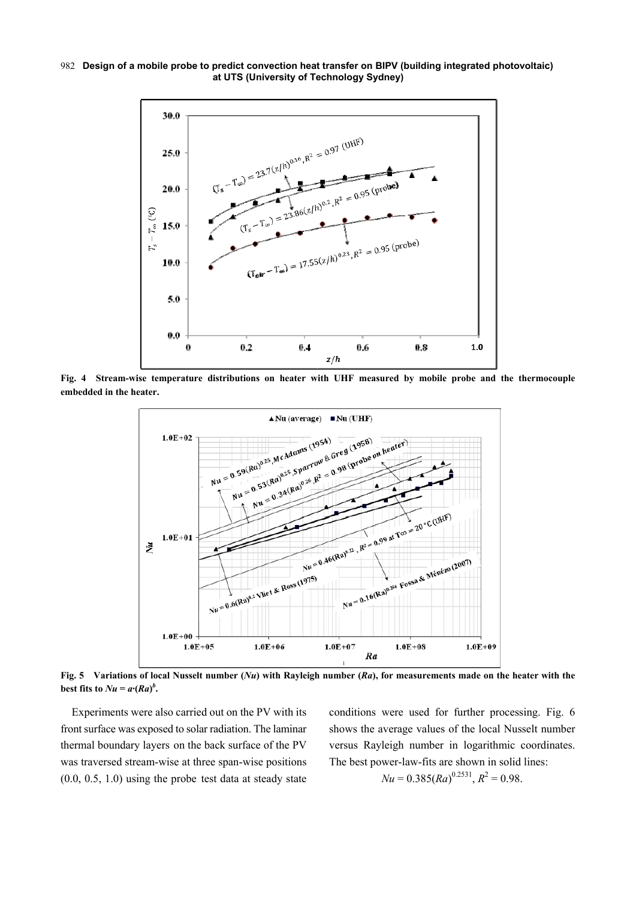**Design of a mobile probe to predict convection heat transfer on BIPV (building integrated photovoltaic)**  982 **at UTS (University of Technology Sydney)** 



**Fig. 4 Stream-wise temperature distributions on heater with UHF measured by mobile probe and the thermocouple embedded in the heater.** 



**Fig. 5 Variations of local Nusselt number (***Nu***) with Rayleigh number (***Ra***), for measurements made on the heater with the best fits to**  $Nu = a \cdot (Ra)^b$ **.** 

Experiments were also carried out on the PV with its front surface was exposed to solar radiation. The laminar thermal boundary layers on the back surface of the PV was traversed stream-wise at three span-wise positions (0.0, 0.5, 1.0) using the probe test data at steady state conditions were used for further processing. Fig. 6 shows the average values of the local Nusselt number versus Rayleigh number in logarithmic coordinates. The best power-law-fits are shown in solid lines:

$$
Nu = 0.385 (Ra)^{0.2531}
$$
,  $R^2 = 0.98$ .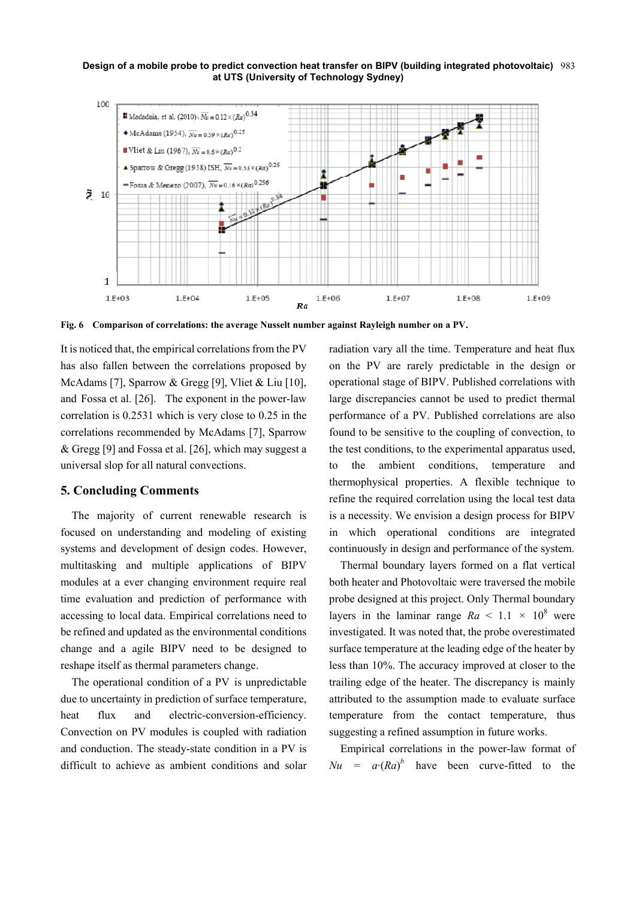**Design of a mobile probe to predict convection heat transfer on BIPV (building integrated photovoltaic)**  983 **at UTS (University of Technology Sydney)** 



**Fig. 6 Comparison of correlations: the average Nusselt number against Rayleigh number on a PV.** 

It is noticed that, the empirical correlations from the PV has also fallen between the correlations proposed by McAdams [7], Sparrow & Gregg [9], Vliet & Liu [10], and Fossa et al. [26]. The exponent in the power-law correlation is 0.2531 which is very close to 0.25 in the correlations recommended by McAdams [7], Sparrow & Gregg [9] and Fossa et al. [26], which may suggest a universal slop for all natural convections.

# **5. Concluding Comments**

The majority of current renewable research is focused on understanding and modeling of existing systems and development of design codes. However, multitasking and multiple applications of BIPV modules at a ever changing environment require real time evaluation and prediction of performance with accessing to local data. Empirical correlations need to be refined and updated as the environmental conditions change and a agile BIPV need to be designed to reshape itself as thermal parameters change.

The operational condition of a PV is unpredictable due to uncertainty in prediction of surface temperature, heat flux and electric-conversion-efficiency. Convection on PV modules is coupled with radiation and conduction. The steady-state condition in a PV is difficult to achieve as ambient conditions and solar radiation vary all the time. Temperature and heat flux on the PV are rarely predictable in the design or operational stage of BIPV. Published correlations with large discrepancies cannot be used to predict thermal performance of a PV. Published correlations are also found to be sensitive to the coupling of convection, to the test conditions, to the experimental apparatus used, to the ambient conditions, temperature and thermophysical properties. A flexible technique to refine the required correlation using the local test data is a necessity. We envision a design process for BIPV in which operational conditions are integrated continuously in design and performance of the system.

Thermal boundary layers formed on a flat vertical both heater and Photovoltaic were traversed the mobile probe designed at this project. Only Thermal boundary layers in the laminar range  $Ra \leq 1.1 \times 10^8$  were investigated. It was noted that, the probe overestimated surface temperature at the leading edge of the heater by less than 10%. The accuracy improved at closer to the trailing edge of the heater. The discrepancy is mainly attributed to the assumption made to evaluate surface temperature from the contact temperature, thus suggesting a refined assumption in future works.

Empirical correlations in the power-law format of  $Nu = a \cdot (Ra)^b$  have been curve-fitted to the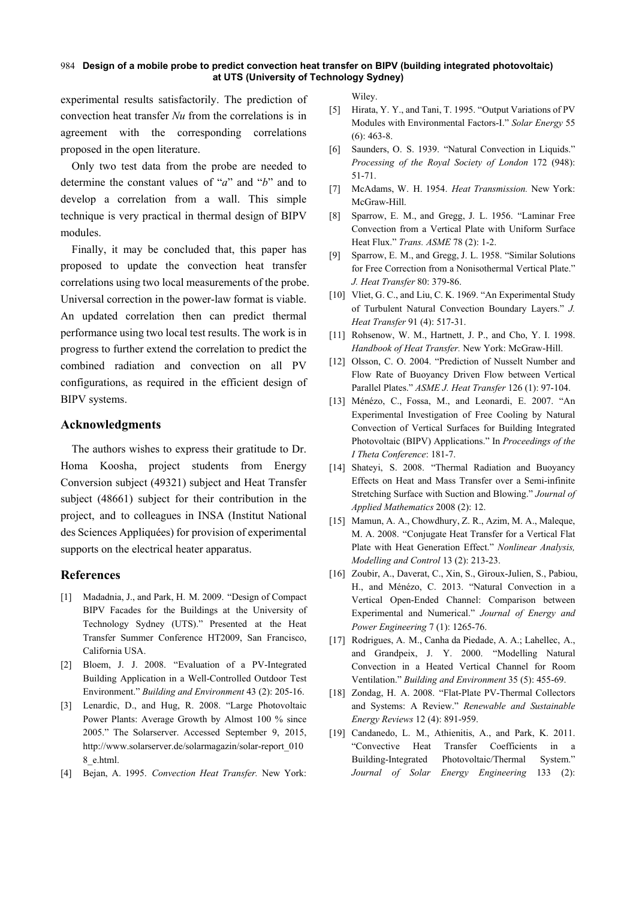## **Design of a mobile probe to predict convection heat transfer on BIPV (building integrated photovoltaic)**  984 **at UTS (University of Technology Sydney)**

experimental results satisfactorily. The prediction of convection heat transfer *Nu* from the correlations is in agreement with the corresponding correlations proposed in the open literature.

Only two test data from the probe are needed to determine the constant values of "*a*" and "*b*" and to develop a correlation from a wall. This simple technique is very practical in thermal design of BIPV modules.

Finally, it may be concluded that, this paper has proposed to update the convection heat transfer correlations using two local measurements of the probe. Universal correction in the power-law format is viable. An updated correlation then can predict thermal performance using two local test results. The work is in progress to further extend the correlation to predict the combined radiation and convection on all PV configurations, as required in the efficient design of BIPV systems.

## **Acknowledgments**

The authors wishes to express their gratitude to Dr. Homa Koosha, project students from Energy Conversion subject (49321) subject and Heat Transfer subject (48661) subject for their contribution in the project, and to colleagues in INSA (Institut National des Sciences Appliquées) for provision of experimental supports on the electrical heater apparatus.

## **References**

- [1] Madadnia, J., and Park, H. M. 2009. "Design of Compact BIPV Facades for the Buildings at the University of Technology Sydney (UTS)." Presented at the Heat Transfer Summer Conference HT2009, San Francisco, California USA.
- [2] Bloem, J. J. 2008. "Evaluation of a PV-Integrated Building Application in a Well-Controlled Outdoor Test Environment." *Building and Environment* 43 (2): 205-16.
- [3] Lenardic, D., and Hug, R. 2008. "Large Photovoltaic Power Plants: Average Growth by Almost 100 % since 2005." The Solarserver. Accessed September 9, 2015, http://www.solarserver.de/solarmagazin/solar-report\_010 8\_e.html.
- [4] Bejan, A. 1995. *Convection Heat Transfer.* New York:

Wiley.

- [5] Hirata, Y. Y., and Tani, T. 1995. "Output Variations of PV Modules with Environmental Factors-I." *Solar Energy* 55 (6): 463-8.
- [6] Saunders, O. S. 1939. "Natural Convection in Liquids." *Processing of the Royal Society of London* 172 (948): 51-71.
- [7] McAdams, W. H. 1954. *Heat Transmission.* New York: McGraw-Hill.
- [8] Sparrow, E. M., and Gregg, J. L. 1956. "Laminar Free Convection from a Vertical Plate with Uniform Surface Heat Flux." *Trans. ASME* 78 (2): 1-2.
- [9] Sparrow, E. M., and Gregg, J. L. 1958. "Similar Solutions for Free Correction from a Nonisothermal Vertical Plate." *J. Heat Transfer* 80: 379-86.
- [10] Vliet, G. C., and Liu, C. K. 1969. "An Experimental Study of Turbulent Natural Convection Boundary Layers." *J. Heat Transfer* 91 (4): 517-31.
- [11] Rohsenow, W. M., Hartnett, J. P., and Cho, Y. I. 1998. *Handbook of Heat Transfer.* New York: McGraw-Hill.
- [12] Olsson, C. O. 2004. "Prediction of Nusselt Number and Flow Rate of Buoyancy Driven Flow between Vertical Parallel Plates." *ASME J. Heat Transfer* 126 (1): 97-104.
- [13] Ménézo, C., Fossa, M., and Leonardi, E. 2007. "An Experimental Investigation of Free Cooling by Natural Convection of Vertical Surfaces for Building Integrated Photovoltaic (BIPV) Applications." In *Proceedings of the I Theta Conference*: 181-7.
- [14] Shateyi, S. 2008. "Thermal Radiation and Buoyancy Effects on Heat and Mass Transfer over a Semi-infinite Stretching Surface with Suction and Blowing." *Journal of Applied Mathematics* 2008 (2): 12.
- [15] Mamun, A. A., Chowdhury, Z. R., Azim, M. A., Maleque, M. A. 2008. "Conjugate Heat Transfer for a Vertical Flat Plate with Heat Generation Effect." *Nonlinear Analysis, Modelling and Control* 13 (2): 213-23.
- [16] Zoubir, A., Daverat, C., Xin, S., Giroux-Julien, S., Pabiou, H., and Ménézo, C. 2013. "Natural Convection in a Vertical Open-Ended Channel: Comparison between Experimental and Numerical." *Journal of Energy and Power Engineering* 7 (1): 1265-76.
- [17] Rodrigues, A. M., Canha da Piedade, A. A.; Lahellec, A., and Grandpeix, J. Y. 2000. "Modelling Natural Convection in a Heated Vertical Channel for Room Ventilation." *Building and Environment* 35 (5): 455-69.
- [18] Zondag, H. A. 2008. "Flat-Plate PV-Thermal Collectors and Systems: A Review." *Renewable and Sustainable Energy Reviews* 12 (4): 891-959.
- [19] Candanedo, L. M., Athienitis, A., and Park, K. 2011. "Convective Heat Transfer Coefficients in a Building-Integrated Photovoltaic/Thermal System." *Journal of Solar Energy Engineering* 133 (2):